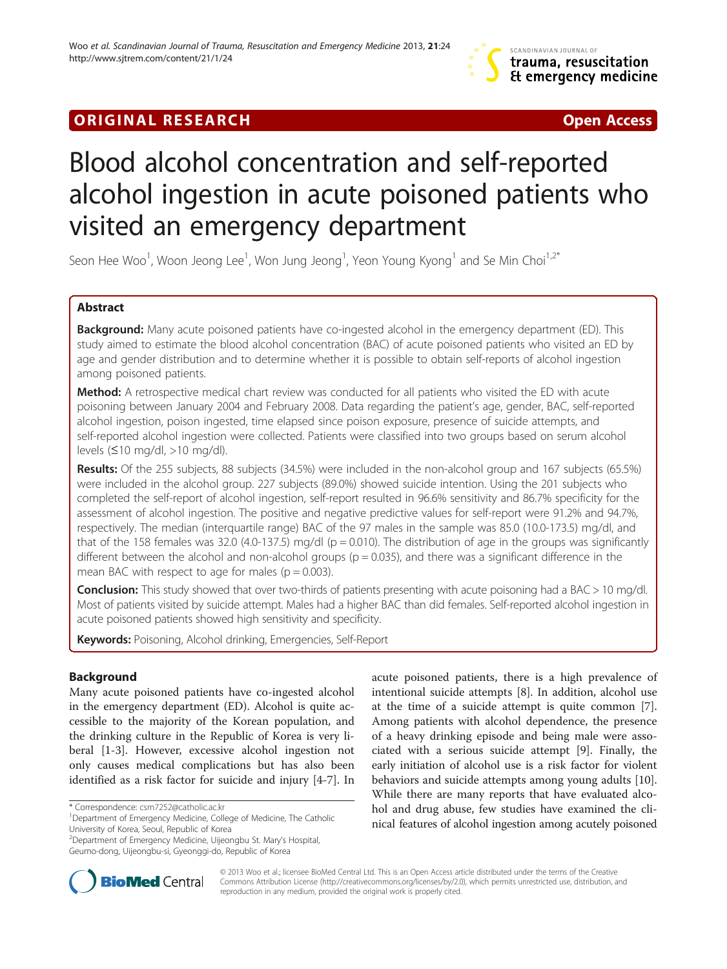# **ORIGINAL RESEARCH CONFIDENTIAL CONSUMING A LOCAL CONFIDENTIAL CONFIDENTIAL CONFIDENTIAL CONFIDENTIAL CONFIDENTI**

# Blood alcohol concentration and self-reported alcohol ingestion in acute poisoned patients who visited an emergency department

Seon Hee Woo<sup>1</sup>, Woon Jeong Lee<sup>1</sup>, Won Jung Jeong<sup>1</sup>, Yeon Young Kyong<sup>1</sup> and Se Min Choi<sup>1,2\*</sup>

# Abstract

Background: Many acute poisoned patients have co-ingested alcohol in the emergency department (ED). This study aimed to estimate the blood alcohol concentration (BAC) of acute poisoned patients who visited an ED by age and gender distribution and to determine whether it is possible to obtain self-reports of alcohol ingestion among poisoned patients.

Method: A retrospective medical chart review was conducted for all patients who visited the ED with acute poisoning between January 2004 and February 2008. Data regarding the patient's age, gender, BAC, self-reported alcohol ingestion, poison ingested, time elapsed since poison exposure, presence of suicide attempts, and self-reported alcohol ingestion were collected. Patients were classified into two groups based on serum alcohol levels (≤10 mg/dl, >10 mg/dl).

Results: Of the 255 subjects, 88 subjects (34.5%) were included in the non-alcohol group and 167 subjects (65.5%) were included in the alcohol group. 227 subjects (89.0%) showed suicide intention. Using the 201 subjects who completed the self-report of alcohol ingestion, self-report resulted in 96.6% sensitivity and 86.7% specificity for the assessment of alcohol ingestion. The positive and negative predictive values for self-report were 91.2% and 94.7%, respectively. The median (interquartile range) BAC of the 97 males in the sample was 85.0 (10.0-173.5) mg/dl, and that of the 158 females was 32.0 (4.0-137.5) mg/dl ( $p = 0.010$ ). The distribution of age in the groups was significantly different between the alcohol and non-alcohol groups ( $p = 0.035$ ), and there was a significant difference in the mean BAC with respect to age for males ( $p = 0.003$ ).

Conclusion: This study showed that over two-thirds of patients presenting with acute poisoning had a BAC > 10 mg/dl. Most of patients visited by suicide attempt. Males had a higher BAC than did females. Self-reported alcohol ingestion in acute poisoned patients showed high sensitivity and specificity.

Keywords: Poisoning, Alcohol drinking, Emergencies, Self-Report

# Background

Many acute poisoned patients have co-ingested alcohol in the emergency department (ED). Alcohol is quite accessible to the majority of the Korean population, and the drinking culture in the Republic of Korea is very liberal [\[1](#page-4-0)-[3](#page-4-0)]. However, excessive alcohol ingestion not only causes medical complications but has also been identified as a risk factor for suicide and injury [[4-7](#page-4-0)]. In acute poisoned patients, there is a high prevalence of intentional suicide attempts [[8\]](#page-4-0). In addition, alcohol use at the time of a suicide attempt is quite common [\[7](#page-4-0)]. Among patients with alcohol dependence, the presence of a heavy drinking episode and being male were associated with a serious suicide attempt [\[9](#page-4-0)]. Finally, the early initiation of alcohol use is a risk factor for violent behaviors and suicide attempts among young adults [\[10](#page-4-0)]. While there are many reports that have evaluated alcohol and drug abuse, few studies have examined the clinical features of alcohol ingestion among acutely poisoned



© 2013 Woo et al.; licensee BioMed Central Ltd. This is an Open Access article distributed under the terms of the Creative Commons Attribution License [\(http://creativecommons.org/licenses/by/2.0\)](http://creativecommons.org/licenses/by/2.0), which permits unrestricted use, distribution, and reproduction in any medium, provided the original work is properly cited.

<sup>\*</sup> Correspondence: [csm7252@catholic.ac.kr](mailto:csm7252@catholic.ac.kr) <sup>1</sup>

Department of Emergency Medicine, College of Medicine, The Catholic University of Korea, Seoul, Republic of Korea

<sup>2</sup> Department of Emergency Medicine, Uijeongbu St. Mary's Hospital, Geumo-dong, Uijeongbu-si, Gyeonggi-do, Republic of Korea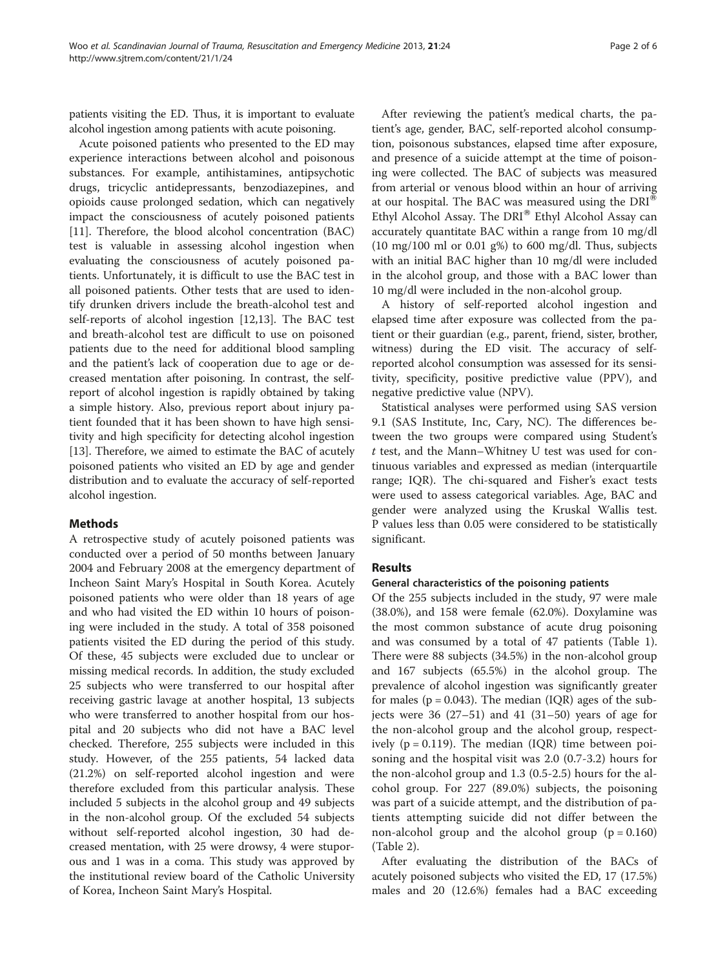patients visiting the ED. Thus, it is important to evaluate alcohol ingestion among patients with acute poisoning.

Acute poisoned patients who presented to the ED may experience interactions between alcohol and poisonous substances. For example, antihistamines, antipsychotic drugs, tricyclic antidepressants, benzodiazepines, and opioids cause prolonged sedation, which can negatively impact the consciousness of acutely poisoned patients [[11\]](#page-4-0). Therefore, the blood alcohol concentration (BAC) test is valuable in assessing alcohol ingestion when evaluating the consciousness of acutely poisoned patients. Unfortunately, it is difficult to use the BAC test in all poisoned patients. Other tests that are used to identify drunken drivers include the breath-alcohol test and self-reports of alcohol ingestion [\[12,13](#page-5-0)]. The BAC test and breath-alcohol test are difficult to use on poisoned patients due to the need for additional blood sampling and the patient's lack of cooperation due to age or decreased mentation after poisoning. In contrast, the selfreport of alcohol ingestion is rapidly obtained by taking a simple history. Also, previous report about injury patient founded that it has been shown to have high sensitivity and high specificity for detecting alcohol ingestion [[13\]](#page-5-0). Therefore, we aimed to estimate the BAC of acutely poisoned patients who visited an ED by age and gender distribution and to evaluate the accuracy of self-reported alcohol ingestion.

## Methods

A retrospective study of acutely poisoned patients was conducted over a period of 50 months between January 2004 and February 2008 at the emergency department of Incheon Saint Mary's Hospital in South Korea. Acutely poisoned patients who were older than 18 years of age and who had visited the ED within 10 hours of poisoning were included in the study. A total of 358 poisoned patients visited the ED during the period of this study. Of these, 45 subjects were excluded due to unclear or missing medical records. In addition, the study excluded 25 subjects who were transferred to our hospital after receiving gastric lavage at another hospital, 13 subjects who were transferred to another hospital from our hospital and 20 subjects who did not have a BAC level checked. Therefore, 255 subjects were included in this study. However, of the 255 patients, 54 lacked data (21.2%) on self-reported alcohol ingestion and were therefore excluded from this particular analysis. These included 5 subjects in the alcohol group and 49 subjects in the non-alcohol group. Of the excluded 54 subjects without self-reported alcohol ingestion, 30 had decreased mentation, with 25 were drowsy, 4 were stuporous and 1 was in a coma. This study was approved by the institutional review board of the Catholic University of Korea, Incheon Saint Mary's Hospital.

After reviewing the patient's medical charts, the patient's age, gender, BAC, self-reported alcohol consumption, poisonous substances, elapsed time after exposure, and presence of a suicide attempt at the time of poisoning were collected. The BAC of subjects was measured from arterial or venous blood within an hour of arriving at our hospital. The BAC was measured using the  $DRI^{\omega}$ Ethyl Alcohol Assay. The DRI<sup>®</sup> Ethyl Alcohol Assay can accurately quantitate BAC within a range from 10 mg/dl (10 mg/100 ml or 0.01 g%) to 600 mg/dl. Thus, subjects with an initial BAC higher than 10 mg/dl were included in the alcohol group, and those with a BAC lower than 10 mg/dl were included in the non-alcohol group.

A history of self-reported alcohol ingestion and elapsed time after exposure was collected from the patient or their guardian (e.g., parent, friend, sister, brother, witness) during the ED visit. The accuracy of selfreported alcohol consumption was assessed for its sensitivity, specificity, positive predictive value (PPV), and negative predictive value (NPV).

Statistical analyses were performed using SAS version 9.1 (SAS Institute, Inc, Cary, NC). The differences between the two groups were compared using Student's t test, and the Mann–Whitney U test was used for continuous variables and expressed as median (interquartile range; IQR). The chi-squared and Fisher's exact tests were used to assess categorical variables. Age, BAC and gender were analyzed using the Kruskal Wallis test. P values less than 0.05 were considered to be statistically significant.

# Results

## General characteristics of the poisoning patients

Of the 255 subjects included in the study, 97 were male (38.0%), and 158 were female (62.0%). Doxylamine was the most common substance of acute drug poisoning and was consumed by a total of 47 patients (Table [1](#page-2-0)). There were 88 subjects (34.5%) in the non-alcohol group and 167 subjects (65.5%) in the alcohol group. The prevalence of alcohol ingestion was significantly greater for males ( $p = 0.043$ ). The median (IQR) ages of the subjects were  $36$   $(27-51)$  and  $41$   $(31-50)$  years of age for the non-alcohol group and the alcohol group, respectively ( $p = 0.119$ ). The median (IQR) time between poisoning and the hospital visit was 2.0 (0.7-3.2) hours for the non-alcohol group and 1.3 (0.5-2.5) hours for the alcohol group. For 227 (89.0%) subjects, the poisoning was part of a suicide attempt, and the distribution of patients attempting suicide did not differ between the non-alcohol group and the alcohol group  $(p = 0.160)$ (Table [2](#page-2-0)).

After evaluating the distribution of the BACs of acutely poisoned subjects who visited the ED, 17 (17.5%) males and 20 (12.6%) females had a BAC exceeding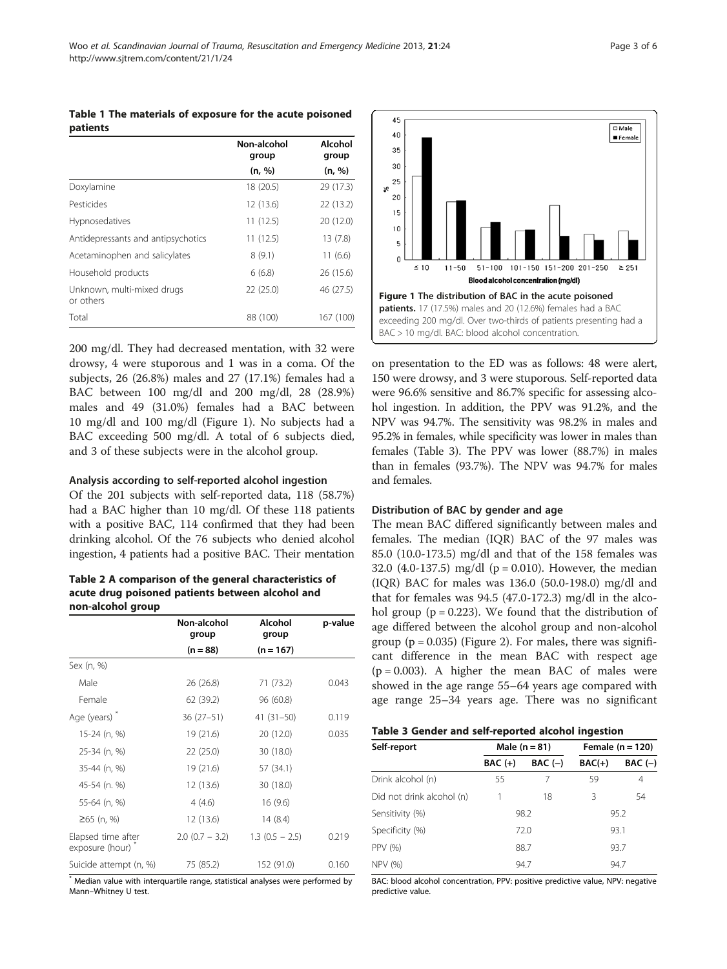<span id="page-2-0"></span>Table 1 The materials of exposure for the acute poisoned patients

|                                         | Non-alcohol<br>group | Alcohol<br>group |
|-----------------------------------------|----------------------|------------------|
|                                         | (n, %)               | (n, %)           |
| Doxylamine                              | 18 (20.5)            | 29 (17.3)        |
| Pesticides                              | 12 (13.6)            | 22 (13.2)        |
| Hypnosedatives                          | 11(12.5)             | 20 (12.0)        |
| Antidepressants and antipsychotics      | 11(12.5)             | 13(7.8)          |
| Acetaminophen and salicylates           | 8(9.1)               | 11(6.6)          |
| Household products                      | 6(6.8)               | 26 (15.6)        |
| Unknown, multi-mixed drugs<br>or others | 22(25.0)             | 46 (27.5)        |
| Total                                   | 88 (100)             | 167 (100)        |

200 mg/dl. They had decreased mentation, with 32 were drowsy, 4 were stuporous and 1 was in a coma. Of the subjects, 26 (26.8%) males and 27 (17.1%) females had a BAC between 100 mg/dl and 200 mg/dl, 28 (28.9%) males and 49 (31.0%) females had a BAC between 10 mg/dl and 100 mg/dl (Figure 1). No subjects had a BAC exceeding 500 mg/dl. A total of 6 subjects died, and 3 of these subjects were in the alcohol group.

#### Analysis according to self-reported alcohol ingestion

Of the 201 subjects with self-reported data, 118 (58.7%) had a BAC higher than 10 mg/dl. Of these 118 patients with a positive BAC, 114 confirmed that they had been drinking alcohol. Of the 76 subjects who denied alcohol ingestion, 4 patients had a positive BAC. Their mentation

Table 2 A comparison of the general characteristics of acute drug poisoned patients between alcohol and non-alcohol group

|                                                    | Non-alcohol<br>group | Alcohol<br>group  | p-value |
|----------------------------------------------------|----------------------|-------------------|---------|
|                                                    | $(n = 88)$           | $(n = 167)$       |         |
| Sex (n, %)                                         |                      |                   |         |
| Male                                               | 26 (26.8)            | 71 (73.2)         | 0.043   |
| Female                                             | 62 (39.2)            | 96 (60.8)         |         |
| Age (years)                                        | $36(27-51)$          | $41(31-50)$       | 0.119   |
| 15-24 (n, %)                                       | 19 (21.6)            | 20 (12.0)         | 0.035   |
| 25-34 (n, %)                                       | 22 (25.0)            | 30 (18.0)         |         |
| 35-44 (n, %)                                       | 19 (21.6)            | 57 (34.1)         |         |
| 45-54 (n. %)                                       | 12 (13.6)            | 30 (18.0)         |         |
| 55-64 (n, %)                                       | 4(4.6)               | 16(9.6)           |         |
| $≥65$ (n, %)                                       | 12 (13.6)            | 14(8.4)           |         |
| Elapsed time after<br>exposure (hour) <sup>*</sup> | $2.0$ (0.7 – 3.2)    | $1.3$ (0.5 - 2.5) | 0.219   |
| Suicide attempt (n, %)                             | 75 (85.2)            | 152 (91.0)        | 0.160   |

\* Median value with interquartile range, statistical analyses were performed by Mann–Whitney U test.



on presentation to the ED was as follows: 48 were alert, 150 were drowsy, and 3 were stuporous. Self-reported data were 96.6% sensitive and 86.7% specific for assessing alcohol ingestion. In addition, the PPV was 91.2%, and the NPV was 94.7%. The sensitivity was 98.2% in males and 95.2% in females, while specificity was lower in males than females (Table 3). The PPV was lower (88.7%) in males than in females (93.7%). The NPV was 94.7% for males and females.

#### Distribution of BAC by gender and age

The mean BAC differed significantly between males and females. The median (IQR) BAC of the 97 males was 85.0 (10.0-173.5) mg/dl and that of the 158 females was 32.0 (4.0-137.5) mg/dl ( $p = 0.010$ ). However, the median (IQR) BAC for males was 136.0 (50.0-198.0) mg/dl and that for females was 94.5 (47.0-172.3) mg/dl in the alcohol group ( $p = 0.223$ ). We found that the distribution of age differed between the alcohol group and non-alcohol group ( $p = 0.035$ ) (Figure [2\)](#page-3-0). For males, there was significant difference in the mean BAC with respect age  $(p = 0.003)$ . A higher the mean BAC of males were showed in the age range 55–64 years age compared with age range 25–34 years age. There was no significant

|  |  |  | Table 3 Gender and self-reported alcohol ingestion |
|--|--|--|----------------------------------------------------|
|  |  |  |                                                    |

| Self-report               | Male $(n = 81)$ |           | Female $(n = 120)$ |           |
|---------------------------|-----------------|-----------|--------------------|-----------|
|                           | $BAC (+)$       | $BAC (-)$ | $BAC(+)$           | $BAC (-)$ |
| Drink alcohol (n)         | 55              | 7         | 59                 | 4         |
| Did not drink alcohol (n) |                 | 18        | 3                  | 54        |
| Sensitivity (%)           | 98.2            |           | 95.2               |           |
| Specificity (%)           | 72.0            |           | 93.1               |           |
| PPV (%)                   | 88.7            |           | 93.7               |           |
| NPV (%)                   | 94.7            |           | 94.7               |           |

BAC: blood alcohol concentration, PPV: positive predictive value, NPV: negative predictive value.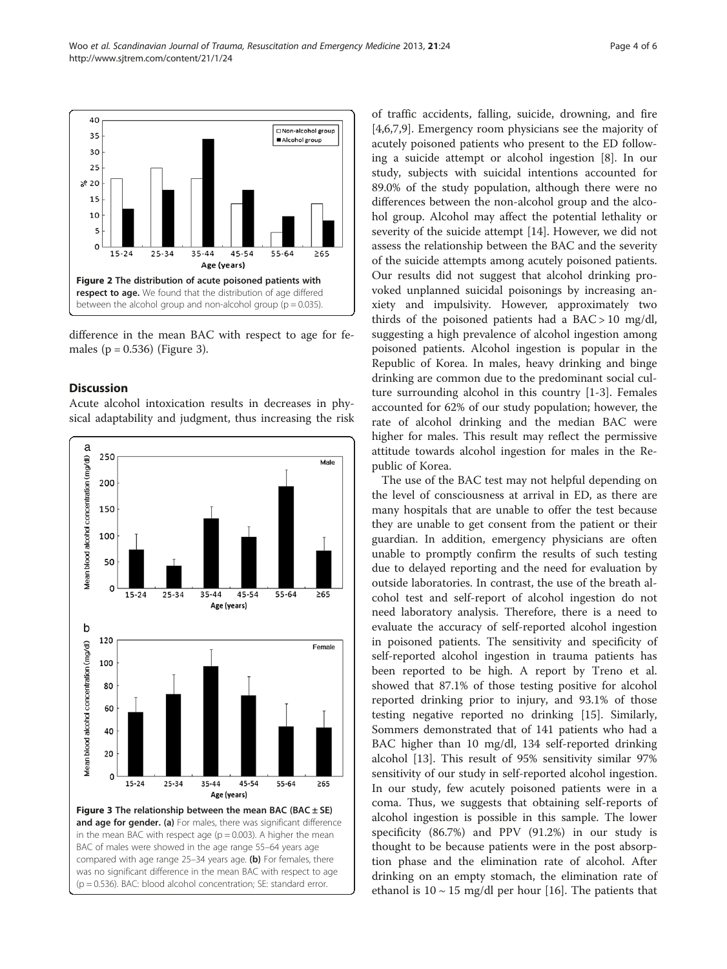<span id="page-3-0"></span>

difference in the mean BAC with respect to age for females ( $p = 0.536$ ) (Figure 3).

#### Discussion

Acute alcohol intoxication results in decreases in physical adaptability and judgment, thus increasing the risk



(p = 0.536). BAC: blood alcohol concentration; SE: standard error.

of traffic accidents, falling, suicide, drowning, and fire [[4,6,7,9\]](#page-4-0). Emergency room physicians see the majority of acutely poisoned patients who present to the ED following a suicide attempt or alcohol ingestion [\[8](#page-4-0)]. In our study, subjects with suicidal intentions accounted for 89.0% of the study population, although there were no differences between the non-alcohol group and the alcohol group. Alcohol may affect the potential lethality or severity of the suicide attempt [\[14\]](#page-5-0). However, we did not assess the relationship between the BAC and the severity of the suicide attempts among acutely poisoned patients. Our results did not suggest that alcohol drinking provoked unplanned suicidal poisonings by increasing anxiety and impulsivity. However, approximately two thirds of the poisoned patients had a  $BAC > 10$  mg/dl, suggesting a high prevalence of alcohol ingestion among poisoned patients. Alcohol ingestion is popular in the Republic of Korea. In males, heavy drinking and binge drinking are common due to the predominant social culture surrounding alcohol in this country [[1-3](#page-4-0)]. Females accounted for 62% of our study population; however, the rate of alcohol drinking and the median BAC were higher for males. This result may reflect the permissive attitude towards alcohol ingestion for males in the Republic of Korea.

The use of the BAC test may not helpful depending on the level of consciousness at arrival in ED, as there are many hospitals that are unable to offer the test because they are unable to get consent from the patient or their guardian. In addition, emergency physicians are often unable to promptly confirm the results of such testing due to delayed reporting and the need for evaluation by outside laboratories. In contrast, the use of the breath alcohol test and self-report of alcohol ingestion do not need laboratory analysis. Therefore, there is a need to evaluate the accuracy of self-reported alcohol ingestion in poisoned patients. The sensitivity and specificity of self-reported alcohol ingestion in trauma patients has been reported to be high. A report by Treno et al. showed that 87.1% of those testing positive for alcohol reported drinking prior to injury, and 93.1% of those testing negative reported no drinking [\[15](#page-5-0)]. Similarly, Sommers demonstrated that of 141 patients who had a BAC higher than 10 mg/dl, 134 self-reported drinking alcohol [[13\]](#page-5-0). This result of 95% sensitivity similar 97% sensitivity of our study in self-reported alcohol ingestion. In our study, few acutely poisoned patients were in a coma. Thus, we suggests that obtaining self-reports of alcohol ingestion is possible in this sample. The lower specificity (86.7%) and PPV (91.2%) in our study is thought to be because patients were in the post absorption phase and the elimination rate of alcohol. After drinking on an empty stomach, the elimination rate of ethanol is  $10 \sim 15$  mg/dl per hour [[16\]](#page-5-0). The patients that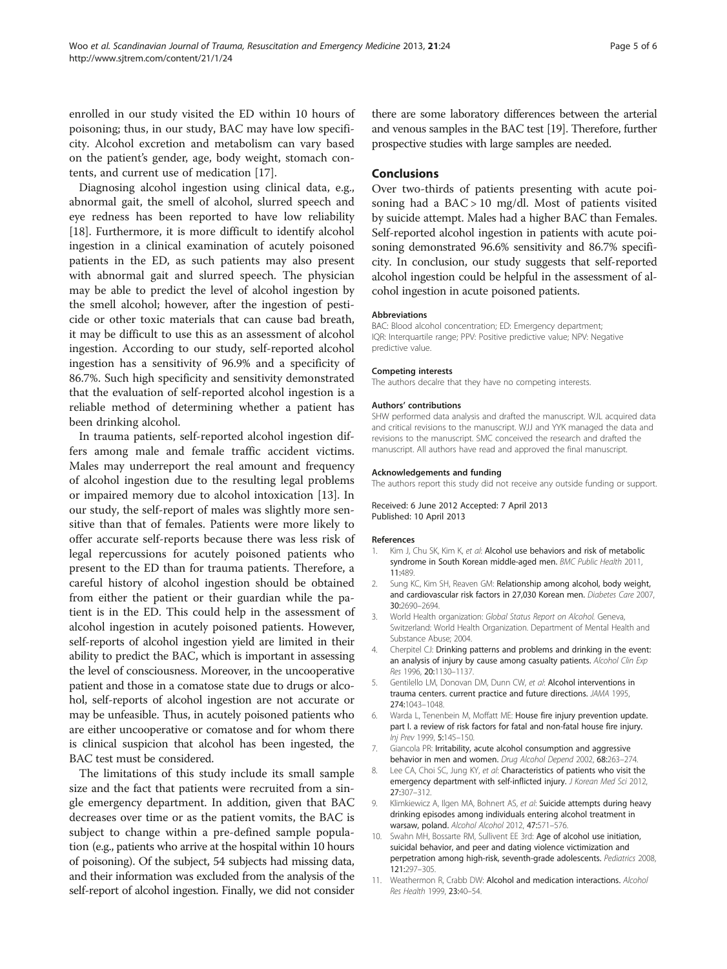<span id="page-4-0"></span>enrolled in our study visited the ED within 10 hours of poisoning; thus, in our study, BAC may have low specificity. Alcohol excretion and metabolism can vary based on the patient's gender, age, body weight, stomach contents, and current use of medication [[17\]](#page-5-0).

Diagnosing alcohol ingestion using clinical data, e.g., abnormal gait, the smell of alcohol, slurred speech and eye redness has been reported to have low reliability [[18\]](#page-5-0). Furthermore, it is more difficult to identify alcohol ingestion in a clinical examination of acutely poisoned patients in the ED, as such patients may also present with abnormal gait and slurred speech. The physician may be able to predict the level of alcohol ingestion by the smell alcohol; however, after the ingestion of pesticide or other toxic materials that can cause bad breath, it may be difficult to use this as an assessment of alcohol ingestion. According to our study, self-reported alcohol ingestion has a sensitivity of 96.9% and a specificity of 86.7%. Such high specificity and sensitivity demonstrated that the evaluation of self-reported alcohol ingestion is a reliable method of determining whether a patient has been drinking alcohol.

In trauma patients, self-reported alcohol ingestion differs among male and female traffic accident victims. Males may underreport the real amount and frequency of alcohol ingestion due to the resulting legal problems or impaired memory due to alcohol intoxication [\[13](#page-5-0)]. In our study, the self-report of males was slightly more sensitive than that of females. Patients were more likely to offer accurate self-reports because there was less risk of legal repercussions for acutely poisoned patients who present to the ED than for trauma patients. Therefore, a careful history of alcohol ingestion should be obtained from either the patient or their guardian while the patient is in the ED. This could help in the assessment of alcohol ingestion in acutely poisoned patients. However, self-reports of alcohol ingestion yield are limited in their ability to predict the BAC, which is important in assessing the level of consciousness. Moreover, in the uncooperative patient and those in a comatose state due to drugs or alcohol, self-reports of alcohol ingestion are not accurate or may be unfeasible. Thus, in acutely poisoned patients who are either uncooperative or comatose and for whom there is clinical suspicion that alcohol has been ingested, the BAC test must be considered.

The limitations of this study include its small sample size and the fact that patients were recruited from a single emergency department. In addition, given that BAC decreases over time or as the patient vomits, the BAC is subject to change within a pre-defined sample population (e.g., patients who arrive at the hospital within 10 hours of poisoning). Of the subject, 54 subjects had missing data, and their information was excluded from the analysis of the self-report of alcohol ingestion. Finally, we did not consider there are some laboratory differences between the arterial and venous samples in the BAC test [\[19\]](#page-5-0). Therefore, further prospective studies with large samples are needed.

#### Conclusions

Over two-thirds of patients presenting with acute poisoning had a BAC > 10 mg/dl. Most of patients visited by suicide attempt. Males had a higher BAC than Females. Self-reported alcohol ingestion in patients with acute poisoning demonstrated 96.6% sensitivity and 86.7% specificity. In conclusion, our study suggests that self-reported alcohol ingestion could be helpful in the assessment of alcohol ingestion in acute poisoned patients.

#### Abbreviations

BAC: Blood alcohol concentration; ED: Emergency department; IQR: Interquartile range; PPV: Positive predictive value; NPV: Negative predictive value.

#### Competing interests

The authors decalre that they have no competing interests.

#### Authors' contributions

SHW performed data analysis and drafted the manuscript. WJL acquired data and critical revisions to the manuscript. WJJ and YYK managed the data and revisions to the manuscript. SMC conceived the research and drafted the manuscript. All authors have read and approved the final manuscript.

#### Acknowledgements and funding

The authors report this study did not receive any outside funding or support.

Received: 6 June 2012 Accepted: 7 April 2013 Published: 10 April 2013

#### References

- 1. Kim J, Chu SK, Kim K, et al: Alcohol use behaviors and risk of metabolic syndrome in South Korean middle-aged men. BMC Public Health 2011, 11:489.
- 2. Sung KC, Kim SH, Reaven GM: Relationship among alcohol, body weight, and cardiovascular risk factors in 27,030 Korean men. Diabetes Care 2007, 30:2690–2694.
- 3. World Health organization: Global Status Report on Alcohol. Geneva, Switzerland: World Health Organization. Department of Mental Health and Substance Abuse; 2004.
- 4. Cherpitel CJ: Drinking patterns and problems and drinking in the event: an analysis of injury by cause among casualty patients. Alcohol Clin Exp Res 1996, 20:1130–1137.
- 5. Gentilello LM, Donovan DM, Dunn CW, et al: Alcohol interventions in trauma centers. current practice and future directions. JAMA 1995, 274:1043–1048.
- Warda L, Tenenbein M, Moffatt ME: House fire injury prevention update. part I. a review of risk factors for fatal and non-fatal house fire injury. Inj Prev 1999, 5:145–150.
- 7. Giancola PR: Irritability, acute alcohol consumption and aggressive behavior in men and women. Drug Alcohol Depend 2002, 68:263–274.
- 8. Lee CA, Choi SC, Jung KY, et al: Characteristics of patients who visit the emergency department with self-inflicted injury. J Korean Med Sci 2012, 27:307–312.
- 9. Klimkiewicz A, Ilgen MA, Bohnert AS, et al: Suicide attempts during heavy drinking episodes among individuals entering alcohol treatment in warsaw, poland. Alcohol Alcohol 2012, 47:571-576.
- 10. Swahn MH, Bossarte RM, Sullivent EE 3rd: Age of alcohol use initiation, suicidal behavior, and peer and dating violence victimization and perpetration among high-risk, seventh-grade adolescents. Pediatrics 2008, 121:297–305.
- 11. Weathermon R, Crabb DW: Alcohol and medication interactions. Alcohol Res Health 1999, 23:40–54.